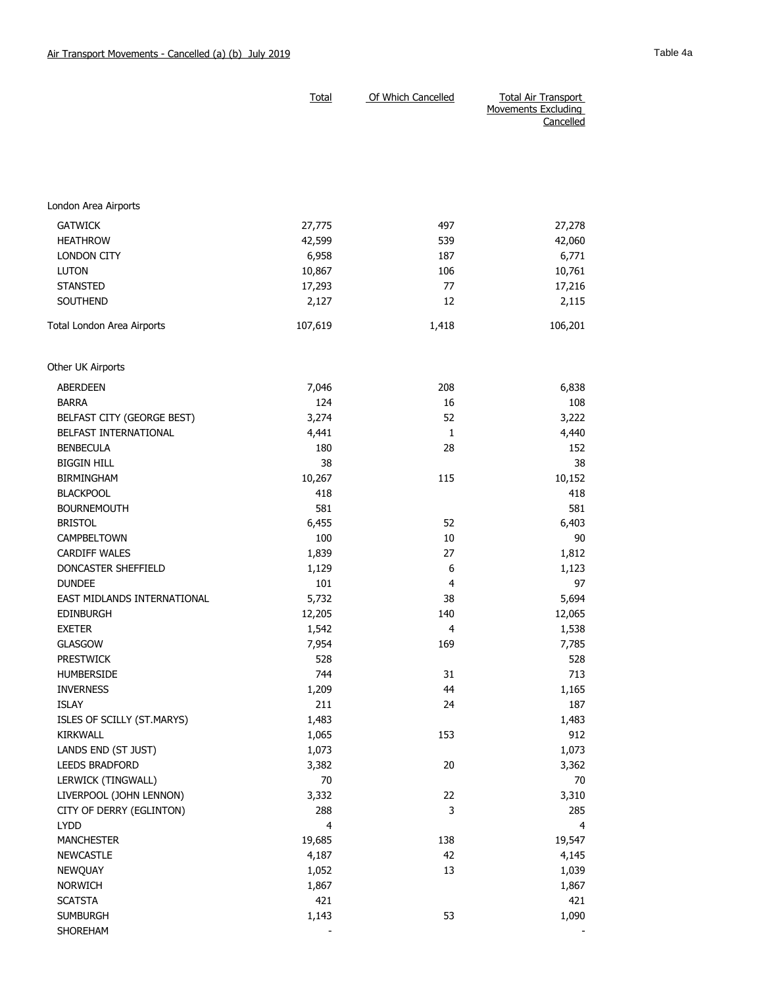|                             | <b>Total</b>            | Of Which Cancelled | <b>Total Air Transport</b><br>Movements Excluding<br>Cancelled |
|-----------------------------|-------------------------|--------------------|----------------------------------------------------------------|
|                             |                         |                    |                                                                |
| London Area Airports        |                         |                    |                                                                |
| <b>GATWICK</b>              | 27,775                  | 497                | 27,278                                                         |
| <b>HEATHROW</b>             | 42,599                  | 539                | 42,060                                                         |
| <b>LONDON CITY</b>          | 6,958                   | 187                | 6,771                                                          |
| <b>LUTON</b>                | 10,867                  | 106                | 10,761                                                         |
| <b>STANSTED</b>             | 17,293                  | 77                 | 17,216                                                         |
| SOUTHEND                    | 2,127                   | 12                 | 2,115                                                          |
| Total London Area Airports  | 107,619                 | 1,418              | 106,201                                                        |
| Other UK Airports           |                         |                    |                                                                |
| <b>ABERDEEN</b>             | 7,046                   | 208                | 6,838                                                          |
| <b>BARRA</b>                | 124                     | 16                 | 108                                                            |
| BELFAST CITY (GEORGE BEST)  | 3,274                   | 52                 | 3,222                                                          |
| BELFAST INTERNATIONAL       | 4,441                   | 1                  | 4,440                                                          |
| <b>BENBECULA</b>            | 180                     | 28                 | 152                                                            |
| <b>BIGGIN HILL</b>          | 38                      |                    | 38                                                             |
| <b>BIRMINGHAM</b>           | 10,267                  | 115                | 10,152                                                         |
| <b>BLACKPOOL</b>            | 418                     |                    | 418                                                            |
| <b>BOURNEMOUTH</b>          | 581                     |                    | 581                                                            |
| <b>BRISTOL</b>              | 6,455                   | 52                 | 6,403                                                          |
| CAMPBELTOWN                 | 100                     | 10                 | 90                                                             |
| <b>CARDIFF WALES</b>        | 1,839                   | 27                 | 1,812                                                          |
| DONCASTER SHEFFIELD         | 1,129                   | 6                  | 1,123                                                          |
| <b>DUNDEE</b>               | 101                     | 4                  | 97                                                             |
| EAST MIDLANDS INTERNATIONAL | 5,732                   | 38                 | 5,694                                                          |
| <b>EDINBURGH</b>            | 12,205                  | 140                | 12,065                                                         |
| <b>EXETER</b>               | 1,542                   | 4                  | 1,538                                                          |
| <b>GLASGOW</b>              | 7,954                   | 169                | 7,785                                                          |
| <b>PRESTWICK</b>            | 528                     |                    | 528                                                            |
| HUMBERSIDE                  | 744                     | 31                 | 713                                                            |
| <b>INVERNESS</b>            | 1,209                   | 44                 | 1,165                                                          |
| <b>ISLAY</b>                | 211                     | 24                 | 187                                                            |
| ISLES OF SCILLY (ST.MARYS)  | 1,483                   |                    | 1,483                                                          |
| <b>KIRKWALL</b>             | 1,065                   | 153                | 912                                                            |
| LANDS END (ST JUST)         | 1,073                   |                    | 1,073                                                          |
| LEEDS BRADFORD              | 3,382                   | 20                 | 3,362                                                          |
| LERWICK (TINGWALL)          | 70                      |                    | 70                                                             |
| LIVERPOOL (JOHN LENNON)     | 3,332                   | 22                 | 3,310                                                          |
| CITY OF DERRY (EGLINTON)    | 288                     | 3                  | 285                                                            |
| LYDD                        | $\overline{\mathbf{4}}$ |                    | $\overline{4}$                                                 |
| <b>MANCHESTER</b>           | 19,685                  | 138                | 19,547                                                         |
| <b>NEWCASTLE</b>            | 4,187                   | 42                 | 4,145                                                          |
| NEWQUAY                     | 1,052                   | 13                 | 1,039                                                          |
| NORWICH                     | 1,867                   |                    | 1,867                                                          |
| <b>SCATSTA</b>              | 421                     |                    | 421                                                            |
| <b>SUMBURGH</b><br>SHOREHAM | 1,143                   | 53                 | 1,090                                                          |
|                             |                         |                    |                                                                |